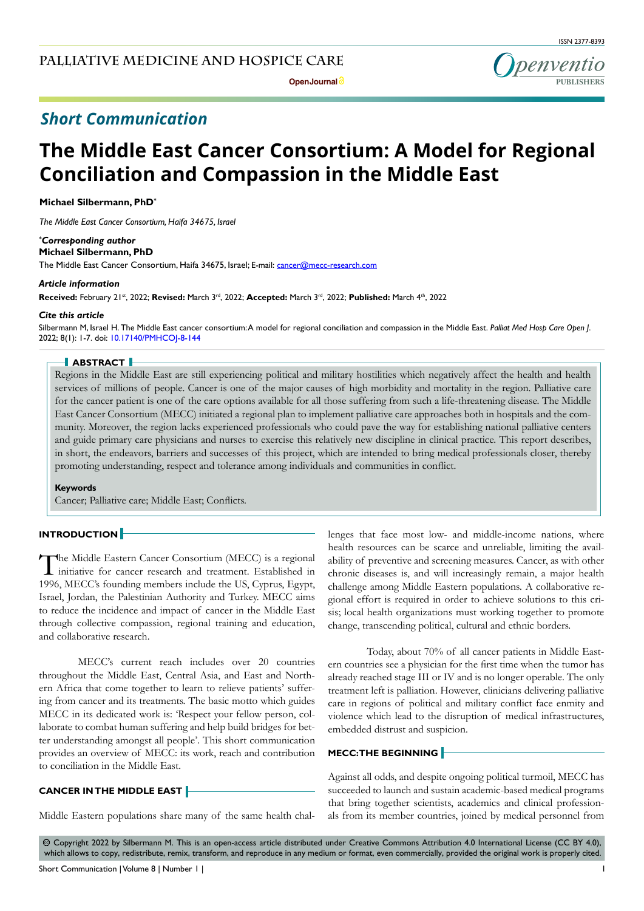ISSN 2377-8393



## *Short Communication*

# **The Middle East Cancer Consortium: A Model for Regional Conciliation and Compassion in the Middle East**

**Michael Silbermann, PhD\***

*The Middle East Cancer Consortium, Haifa 34675, Israel*

#### *\* Corresponding author* **Michael Silbermann, PhD**

The Middle East Cancer Consortium, Haifa 34675, Israel; E-mail: cancer@mecc-research.com

#### *Article information*

**Received:** February 21st, 2022; **Revised:** March 3rd, 2022; **Accepted:** March 3rd, 2022; **Published:** March 4th, 2022

#### *Cite this article*

Silbermann M, Israel H. The Middle East cancer consortium: A model for regional conciliation and compassion in the Middle East. *Palliat Med Hosp Care Open J*. 2022; 8(1): 1-7. doi: [10.17140/PMHCOJ-8-144](http://dx.doi.org/10.17140/PMHCOJ-8-144)

#### **ABSTRACT**

Regions in the Middle East are still experiencing political and military hostilities which negatively affect the health and health services of millions of people. Cancer is one of the major causes of high morbidity and mortality in the region. Palliative care for the cancer patient is one of the care options available for all those suffering from such a life-threatening disease. The Middle East Cancer Consortium (MECC) initiated a regional plan to implement palliative care approaches both in hospitals and the community. Moreover, the region lacks experienced professionals who could pave the way for establishing national palliative centers and guide primary care physicians and nurses to exercise this relatively new discipline in clinical practice. This report describes, in short, the endeavors, barriers and successes of this project, which are intended to bring medical professionals closer, thereby promoting understanding, respect and tolerance among individuals and communities in conflict.

#### **Keywords**

Cancer; Palliative care; Middle East; Conflicts.

#### **INTRODUCTION**

The Middle Eastern Cancer Consortium (MECC) is a regional initiative for cancer research and treatment. Established in 1996, MECC's founding members include the US, Cyprus, Egypt, Israel, Jordan, the Palestinian Authority and Turkey. MECC aims to reduce the incidence and impact of cancer in the Middle East through collective compassion, regional training and education, and collaborative research.

MECC's current reach includes over 20 countries throughout the Middle East, Central Asia, and East and Northern Africa that come together to learn to relieve patients' suffering from cancer and its treatments. The basic motto which guides MECC in its dedicated work is: 'Respect your fellow person, collaborate to combat human suffering and help build bridges for better understanding amongst all people'. This short communication provides an overview of MECC: its work, reach and contribution to conciliation in the Middle East.

## **CANCER IN THE MIDDLE EAST**

Middle Eastern populations share many of the same health chal-

lenges that face most low- and middle-income nations, where health resources can be scarce and unreliable, limiting the availability of preventive and screening measures. Cancer, as with other chronic diseases is, and will increasingly remain, a major health challenge among Middle Eastern populations. A collaborative regional effort is required in order to achieve solutions to this crisis; local health organizations must working together to promote change, transcending political, cultural and ethnic borders.

Today, about 70% of all cancer patients in Middle Eastern countries see a physician for the first time when the tumor has already reached stage III or IV and is no longer operable. The only treatment left is palliation. However, clinicians delivering palliative care in regions of political and military conflict face enmity and violence which lead to the disruption of medical infrastructures, embedded distrust and suspicion.

## **MECC: THE BEGINNING**

Against all odds, and despite ongoing political turmoil, MECC has succeeded to launch and sustain academic-based medical programs that bring together scientists, academics and clinical professionals from its member countries, joined by medical personnel from

 $\circledcirc$  Copyright 2022 by Silbermann M. This is an open-access article distributed under Creative Commons Attribution 4.0 International License ([CC BY 4.0\)](https://creativecommons.org/licenses/by/4.0/), which allows to copy, redistribute, remix, transform, and reproduce in any medium or format, even commercially, provided the original work is properly cited.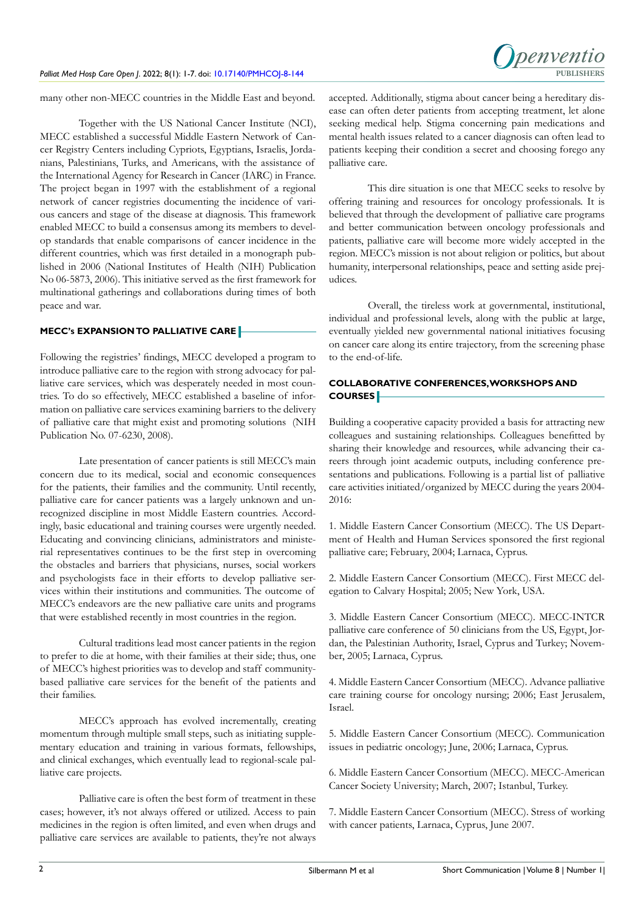

many other non-MECC countries in the Middle East and beyond.

Together with the US National Cancer Institute (NCI), MECC established a successful Middle Eastern Network of Cancer Registry Centers including Cypriots, Egyptians, Israelis, Jordanians, Palestinians, Turks, and Americans, with the assistance of the International Agency for Research in Cancer (IARC) in France. The project began in 1997 with the establishment of a regional network of cancer registries documenting the incidence of various cancers and stage of the disease at diagnosis. This framework enabled MECC to build a consensus among its members to develop standards that enable comparisons of cancer incidence in the different countries, which was first detailed in a monograph published in 2006 (National Institutes of Health (NIH) Publication No 06-5873, 2006). This initiative served as the first framework for multinational gatherings and collaborations during times of both peace and war.

## **MECC's EXPANSION TO PALLIATIVE CARE**

Following the registries' findings, MECC developed a program to introduce palliative care to the region with strong advocacy for palliative care services, which was desperately needed in most countries. To do so effectively, MECC established a baseline of information on palliative care services examining barriers to the delivery of palliative care that might exist and promoting solutions (NIH Publication No. 07-6230, 2008).

Late presentation of cancer patients is still MECC's main concern due to its medical, social and economic consequences for the patients, their families and the community. Until recently, palliative care for cancer patients was a largely unknown and unrecognized discipline in most Middle Eastern countries. Accordingly, basic educational and training courses were urgently needed. Educating and convincing clinicians, administrators and ministerial representatives continues to be the first step in overcoming the obstacles and barriers that physicians, nurses, social workers and psychologists face in their efforts to develop palliative services within their institutions and communities. The outcome of MECC's endeavors are the new palliative care units and programs that were established recently in most countries in the region.

Cultural traditions lead most cancer patients in the region to prefer to die at home, with their families at their side; thus, one of MECC's highest priorities was to develop and staff communitybased palliative care services for the benefit of the patients and their families.

MECC's approach has evolved incrementally, creating momentum through multiple small steps, such as initiating supplementary education and training in various formats, fellowships, and clinical exchanges, which eventually lead to regional-scale palliative care projects.

Palliative care is often the best form of treatment in these cases; however, it's not always offered or utilized. Access to pain medicines in the region is often limited, and even when drugs and palliative care services are available to patients, they're not always accepted. Additionally, stigma about cancer being a hereditary disease can often deter patients from accepting treatment, let alone seeking medical help. Stigma concerning pain medications and mental health issues related to a cancer diagnosis can often lead to patients keeping their condition a secret and choosing forego any palliative care.

This dire situation is one that MECC seeks to resolve by offering training and resources for oncology professionals. It is believed that through the development of palliative care programs and better communication between oncology professionals and patients, palliative care will become more widely accepted in the region. MECC's mission is not about religion or politics, but about humanity, interpersonal relationships, peace and setting aside prejudices.

Overall, the tireless work at governmental, institutional, individual and professional levels, along with the public at large, eventually yielded new governmental national initiatives focusing on cancer care along its entire trajectory, from the screening phase to the end-of-life.

## **COLLABORATIVE CONFERENCES, WORKSHOPS AND COURSES**

Building a cooperative capacity provided a basis for attracting new colleagues and sustaining relationships. Colleagues benefitted by sharing their knowledge and resources, while advancing their careers through joint academic outputs, including conference presentations and publications. Following is a partial list of palliative care activities initiated/organized by MECC during the years 2004- 2016:

1. Middle Eastern Cancer Consortium (MECC). The US Department of Health and Human Services sponsored the first regional palliative care; February, 2004; Larnaca, Cyprus.

2. Middle Eastern Cancer Consortium (MECC). First MECC delegation to Calvary Hospital; 2005; New York, USA.

3. Middle Eastern Cancer Consortium (MECC). MECC-INTCR palliative care conference of 50 clinicians from the US, Egypt, Jordan, the Palestinian Authority, Israel, Cyprus and Turkey; November, 2005; Larnaca, Cyprus.

4. Middle Eastern Cancer Consortium (MECC). Advance palliative care training course for oncology nursing; 2006; East Jerusalem, Israel.

5. Middle Eastern Cancer Consortium (MECC). Communication issues in pediatric oncology; June, 2006; Larnaca, Cyprus.

6. Middle Eastern Cancer Consortium (MECC). MECC-American Cancer Society University; March, 2007; Istanbul, Turkey.

7. Middle Eastern Cancer Consortium (MECC). Stress of working with cancer patients, Larnaca, Cyprus, June 2007.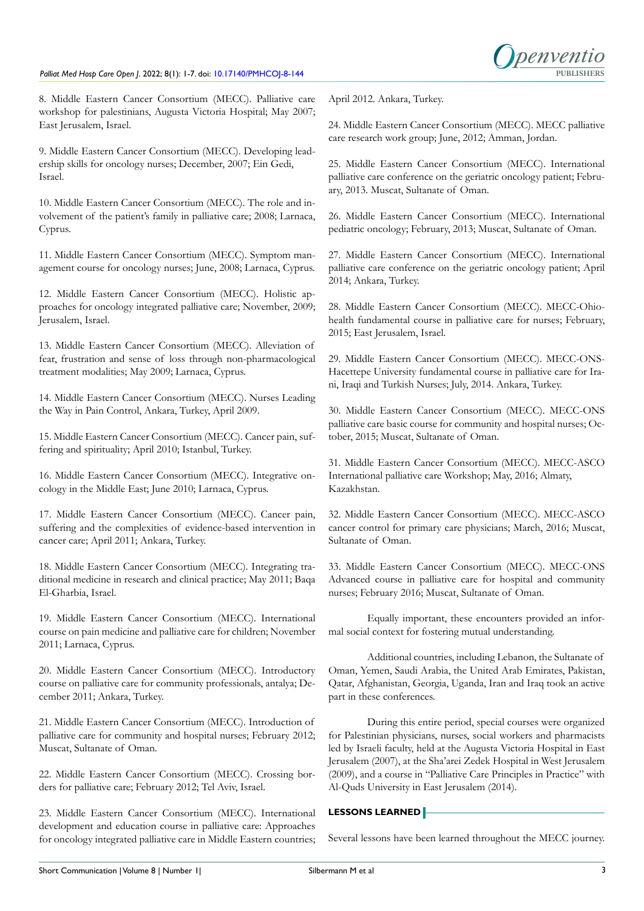

8. Middle Eastern Cancer Consortium (MECC). Palliative care workshop for palestinians, Augusta Victoria Hospital; May 2007; East Jerusalem, Israel.

9. Middle Eastern Cancer Consortium (MECC). Developing leadership skills for oncology nurses; December, 2007; Ein Gedi, Israel.

10. Middle Eastern Cancer Consortium (MECC). The role and involvement of the patient's family in palliative care; 2008; Larnaca, Cyprus.

11. Middle Eastern Cancer Consortium (MECC). Symptom management course for oncology nurses; June, 2008; Larnaca, Cyprus.

12. Middle Eastern Cancer Consortium (MECC). Holistic approaches for oncology integrated palliative care; November, 2009; Jerusalem, Israel.

13. Middle Eastern Cancer Consortium (MECC). Alleviation of fear, frustration and sense of loss through non-pharmacological treatment modalities; May 2009; Larnaca, Cyprus.

14. Middle Eastern Cancer Consortium (MECC). Nurses Leading the Way in Pain Control, Ankara, Turkey, April 2009.

15. Middle Eastern Cancer Consortium (MECC). Cancer pain, suffering and spirituality; April 2010; Istanbul, Turkey.

16. Middle Eastern Cancer Consortium (MECC). Integrative oncology in the Middle East; June 2010; Larnaca, Cyprus.

17. Middle Eastern Cancer Consortium (MECC). Cancer pain, suffering and the complexities of evidence-based intervention in cancer care; April 2011; Ankara, Turkey.

18. Middle Eastern Cancer Consortium (MECC). Integrating traditional medicine in research and clinical practice; May 2011; Baqa El-Gharbia, Israel.

19. Middle Eastern Cancer Consortium (MECC). International course on pain medicine and palliative care for children; November 2011; Larnaca, Cyprus.

20. Middle Eastern Cancer Consortium (MECC). Introductory course on palliative care for community professionals, antalya; December 2011; Ankara, Turkey.

21. Middle Eastern Cancer Consortium (MECC). Introduction of palliative care for community and hospital nurses; February 2012; Muscat, Sultanate of Oman.

22. Middle Eastern Cancer Consortium (MECC). Crossing borders for palliative care; February 2012; Tel Aviv, Israel.

23. Middle Eastern Cancer Consortium (MECC). International development and education course in palliative care: Approaches for oncology integrated palliative care in Middle Eastern countries; April 2012. Ankara, Turkey.

24. Middle Eastern Cancer Consortium (MECC). MECC palliative care research work group; June, 2012; Amman, Jordan.

25. Middle Eastern Cancer Consortium (MECC). International palliative care conference on the geriatric oncology patient; February, 2013. Muscat, Sultanate of Oman.

26. Middle Eastern Cancer Consortium (MECC). International pediatric oncology; February, 2013; Muscat, Sultanate of Oman.

27. Middle Eastern Cancer Consortium (MECC). International palliative care conference on the geriatric oncology patient; April 2014; Ankara, Turkey.

28. Middle Eastern Cancer Consortium (MECC). MECC-Ohiohealth fundamental course in palliative care for nurses; February, 2015; East Jerusalem, Israel.

29. Middle Eastern Cancer Consortium (MECC). MECC-ONS-Hacettepe University fundamental course in palliative care for Irani, Iraqi and Turkish Nurses; July, 2014. Ankara, Turkey.

30. Middle Eastern Cancer Consortium (MECC). MECC-ONS palliative care basic course for community and hospital nurses; October, 2015; Muscat, Sultanate of Oman.

31. Middle Eastern Cancer Consortium (MECC). MECC-ASCO International palliative care Workshop; May, 2016; Almaty, Kazakhstan.

32. Middle Eastern Cancer Consortium (MECC). MECC-ASCO cancer control for primary care physicians; March, 2016; Muscat, Sultanate of Oman.

33. Middle Eastern Cancer Consortium (MECC). MECC-ONS Advanced course in palliative care for hospital and community nurses; February 2016; Muscat, Sultanate of Oman.

Equally important, these encounters provided an informal social context for fostering mutual understanding.

Additional countries, including Lebanon, the Sultanate of Oman, Yemen, Saudi Arabia, the United Arab Emirates, Pakistan, Qatar, Afghanistan, Georgia, Uganda, Iran and Iraq took an active part in these conferences.

During this entire period, special courses were organized for Palestinian physicians, nurses, social workers and pharmacists led by Israeli faculty, held at the Augusta Victoria Hospital in East Jerusalem (2007), at the Sha'arei Zedek Hospital in West Jerusalem (2009), and a course in "Palliative Care Principles in Practice" with Al-Quds University in East Jerusalem (2014).

## **LESSONS LEARNED**

Several lessons have been learned throughout the MECC journey.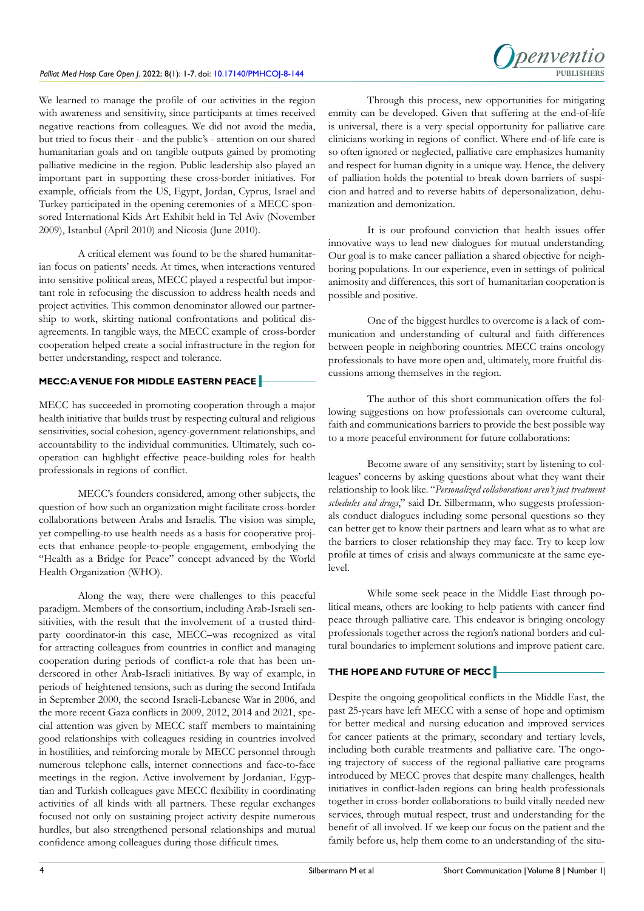

We learned to manage the profile of our activities in the region with awareness and sensitivity, since participants at times received negative reactions from colleagues. We did not avoid the media, but tried to focus their - and the public's - attention on our shared humanitarian goals and on tangible outputs gained by promoting palliative medicine in the region. Public leadership also played an important part in supporting these cross-border initiatives. For example, officials from the US, Egypt, Jordan, Cyprus, Israel and Turkey participated in the opening ceremonies of a MECC-sponsored International Kids Art Exhibit held in Tel Aviv (November 2009), Istanbul (April 2010) and Nicosia (June 2010).

A critical element was found to be the shared humanitarian focus on patients' needs. At times, when interactions ventured into sensitive political areas, MECC played a respectful but important role in refocusing the discussion to address health needs and project activities. This common denominator allowed our partnership to work, skirting national confrontations and political disagreements. In tangible ways, the MECC example of cross-border cooperation helped create a social infrastructure in the region for better understanding, respect and tolerance.

## **MECC: A VENUE FOR MIDDLE EASTERN PEACE**

MECC has succeeded in promoting cooperation through a major health initiative that builds trust by respecting cultural and religious sensitivities, social cohesion, agency-government relationships, and accountability to the individual communities. Ultimately, such cooperation can highlight effective peace-building roles for health professionals in regions of conflict.

MECC's founders considered, among other subjects, the question of how such an organization might facilitate cross-border collaborations between Arabs and Israelis. The vision was simple, yet compelling-to use health needs as a basis for cooperative projects that enhance people-to-people engagement, embodying the "Health as a Bridge for Peace" concept advanced by the World Health Organization (WHO).

Along the way, there were challenges to this peaceful paradigm. Members of the consortium, including Arab-Israeli sensitivities, with the result that the involvement of a trusted thirdparty coordinator-in this case, MECC–was recognized as vital for attracting colleagues from countries in conflict and managing cooperation during periods of conflict-a role that has been underscored in other Arab-Israeli initiatives. By way of example, in periods of heightened tensions, such as during the second Intifada in September 2000, the second Israeli-Lebanese War in 2006, and the more recent Gaza conflicts in 2009, 2012, 2014 and 2021, special attention was given by MECC staff members to maintaining good relationships with colleagues residing in countries involved in hostilities, and reinforcing morale by MECC personnel through numerous telephone calls, internet connections and face-to-face meetings in the region. Active involvement by Jordanian, Egyptian and Turkish colleagues gave MECC flexibility in coordinating activities of all kinds with all partners. These regular exchanges focused not only on sustaining project activity despite numerous hurdles, but also strengthened personal relationships and mutual confidence among colleagues during those difficult times.

Through this process, new opportunities for mitigating enmity can be developed. Given that suffering at the end-of-life is universal, there is a very special opportunity for palliative care clinicians working in regions of conflict. Where end-of-life care is so often ignored or neglected, palliative care emphasizes humanity and respect for human dignity in a unique way. Hence, the delivery of palliation holds the potential to break down barriers of suspicion and hatred and to reverse habits of depersonalization, dehumanization and demonization.

It is our profound conviction that health issues offer innovative ways to lead new dialogues for mutual understanding. Our goal is to make cancer palliation a shared objective for neighboring populations. In our experience, even in settings of political animosity and differences, this sort of humanitarian cooperation is possible and positive.

One of the biggest hurdles to overcome is a lack of communication and understanding of cultural and faith differences between people in neighboring countries. MECC trains oncology professionals to have more open and, ultimately, more fruitful discussions among themselves in the region.

The author of this short communication offers the following suggestions on how professionals can overcome cultural, faith and communications barriers to provide the best possible way to a more peaceful environment for future collaborations:

Become aware of any sensitivity; start by listening to colleagues' concerns by asking questions about what they want their relationship to look like. "*Personalized collaborations aren't just treatment schedules and drugs*," said Dr. Silbermann, who suggests professionals conduct dialogues including some personal questions so they can better get to know their partners and learn what as to what are the barriers to closer relationship they may face. Try to keep low profile at times of crisis and always communicate at the same eyelevel.

While some seek peace in the Middle East through political means, others are looking to help patients with cancer find peace through palliative care. This endeavor is bringing oncology professionals together across the region's national borders and cultural boundaries to implement solutions and improve patient care.

## **THE HOPE AND FUTURE OF MECC**

Despite the ongoing geopolitical conflicts in the Middle East, the past 25-years have left MECC with a sense of hope and optimism for better medical and nursing education and improved services for cancer patients at the primary, secondary and tertiary levels, including both curable treatments and palliative care. The ongoing trajectory of success of the regional palliative care programs introduced by MECC proves that despite many challenges, health initiatives in conflict-laden regions can bring health professionals together in cross-border collaborations to build vitally needed new services, through mutual respect, trust and understanding for the benefit of all involved. If we keep our focus on the patient and the family before us, help them come to an understanding of the situ-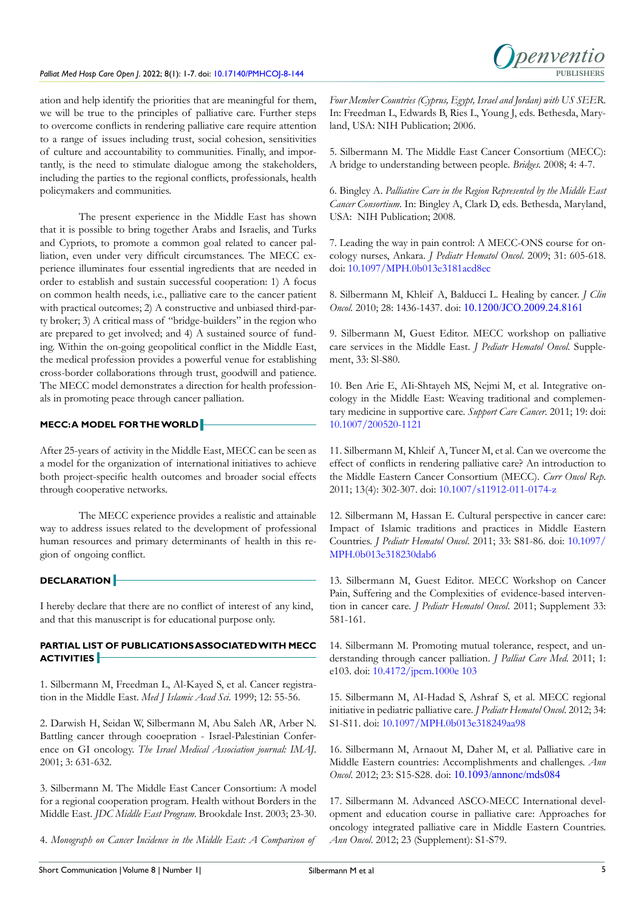

ation and help identify the priorities that are meaningful for them, we will be true to the principles of palliative care. Further steps to overcome conflicts in rendering palliative care require attention to a range of issues including trust, social cohesion, sensitivities of culture and accountability to communities. Finally, and importantly, is the need to stimulate dialogue among the stakeholders, including the parties to the regional conflicts, professionals, health policymakers and communities.

The present experience in the Middle East has shown that it is possible to bring together Arabs and Israelis, and Turks and Cypriots, to promote a common goal related to cancer palliation, even under very difficult circumstances. The MECC experience illuminates four essential ingredients that are needed in order to establish and sustain successful cooperation: 1) A focus on common health needs, i.e., palliative care to the cancer patient with practical outcomes; 2) A constructive and unbiased third-party broker; 3) A critical mass of "bridge-builders" in the region who are prepared to get involved; and 4) A sustained source of funding. Within the on-going geopolitical conflict in the Middle East, the medical profession provides a powerful venue for establishing cross-border collaborations through trust, goodwill and patience. The MECC model demonstrates a direction for health professionals in promoting peace through cancer palliation.

## **MECC: A MODEL FOR THE WORLD**

After 25-years of activity in the Middle East, MECC can be seen as a model for the organization of international initiatives to achieve both project-specific health outcomes and broader social effects through cooperative networks.

The MECC experience provides a realistic and attainable way to address issues related to the development of professional human resources and primary determinants of health in this region of ongoing conflict.

## **DECLARATION**

I hereby declare that there are no conflict of interest of any kind, and that this manuscript is for educational purpose only.

## **PARTIAL LIST OF PUBLICATIONS ASSOCIATED WITH MECC ACTIVITIES**

1. Silbermann M, Freedman L, Al-Kayed S, et al. Cancer registration in the Middle East. *Med J Islamic Acad Sci.* 1999; 12: 55-56.

2. Darwish H, Seidan W, Silbermann M, Abu Saleh AR, Arber N. Battling cancer through cooepration - Israel-Palestinian Conference on GI oncology. *The Israel Medical Association journal: IMAJ*. 2001; 3: 631-632.

3. Silbermann M. The Middle East Cancer Consortium: A model for a regional cooperation program. Health without Borders in the Middle East. *JDC Middle East Program*. Brookdale Inst. 2003; 23-30.

4. *Monograph on Cancer Incidence in the Middle East: A Comparison of* 

*Four Member Countries (Cyprus, Egypt, Israel and Jordan) with US SEER*. In: Freedman L, Edwards B, Ries L, Young J, eds. Bethesda, Maryland, USA: NIH Publication; 2006.

5. Silbermann M. The Middle East Cancer Consortium (MECC): A bridge to understanding between people. *Bridges.* 2008; 4: 4-7.

6. Bingley A. *Palliative Care in the Region Represented by the Middle East Cancer Consortium*. In: Bingley A, Clark D, eds. Bethesda, Maryland, USA: NIH Publication; 2008.

7. Leading the way in pain control: A MECC-ONS course for oncology nurses, Ankara. *J Pediatr Hematol Oncol*. 2009; 31: 605-618. doi: [10.1097/MPH.0b013e3181acd8ec](http://doi.org/10.1097/MPH.0b013e3181acd8ec)

8. Silbermann M, Khleif A, Balducci L. Healing by cancer. *J Clin Oncol*. 2010; 28: 1436-1437. doi: [10.1200/JCO.2009.24.8161](http://doi.org/10.1200/JCO.2009.24.8161)

9. Silbermann M, Guest Editor. MECC workshop on palliative care services in the Middle East. *J Pediatr Hematol Oncol*. Supplement, 33: Sl-S80.

10. Ben Arie E, AIi-Shtayeh MS, Nejmi M, et al. Integrative oncology in the Middle East: Weaving traditional and complementary medicine in supportive care. *Support Care Cancer*. 2011; 19: doi: [10.1007/200520-1121](http://doi.org/10.1007/200520-1121)

11. Silbermann M, Khleif A, Tuncer M, et al. Can we overcome the effect of conflicts in rendering palliative care? An introduction to the Middle Eastern Cancer Consortium (MECC). *Curr Oncol Rep*. 2011; 13(4): 302-307. doi: [10.1007/s11912-011-0174-z](http://doi.org/10.1007/s11912-011-0174-z)

12. Silbermann M, Hassan E. Cultural perspective in cancer care: Impact of Islamic traditions and practices in Middle Eastern Countries. *J Pediatr Hematol Oncol*. 2011; 33: S81-86. doi: [10.1097/](http://doi.org/10.1097/MPH.0b013e318230dab6) [MPH.0b013e318230dab6](http://doi.org/10.1097/MPH.0b013e318230dab6)

13. Silbermann M, Guest Editor. MECC Workshop on Cancer Pain, Suffering and the Complexities of evidence-based intervention in cancer care. *J Pediatr Hematol Oncol*. 2011; Supplement 33: 581-161.

14. Silbermann M. Promoting mutual tolerance, respect, and understanding through cancer palliation. *J Palliat Care Med*. 2011; 1: e103. doi: [10.4172/jpcm.1000e 103](http://doi.org/10.4172/jpcm.1000e 103)

15. Silbermann M, AI-Hadad S, Ashraf S, et al. MECC regional initiative in pediatric palliative care. *J Pediatr Hematol Oncol*. 2012; 34: S1-S11. doi: [10.1097/MPH.0b013e318249aa98](http://doi.org/10.1097/MPH.0b013e318249aa98)

16. Silbermann M, Arnaout M, Daher M, et al. Palliative care in Middle Eastern countries: Accomplishments and challenges. *Ann Oncol*. 2012; 23: S15-S28. doi: [10.1093/annonc/mds084](http://doi.org/10.1093/annonc/mds084)

17. Silbermann M. Advanced ASCO-MECC International development and education course in palliative care: Approaches for oncology integrated palliative care in Middle Eastern Countries. *Ann Oncol*. 2012; 23 (Supplement): S1-S79.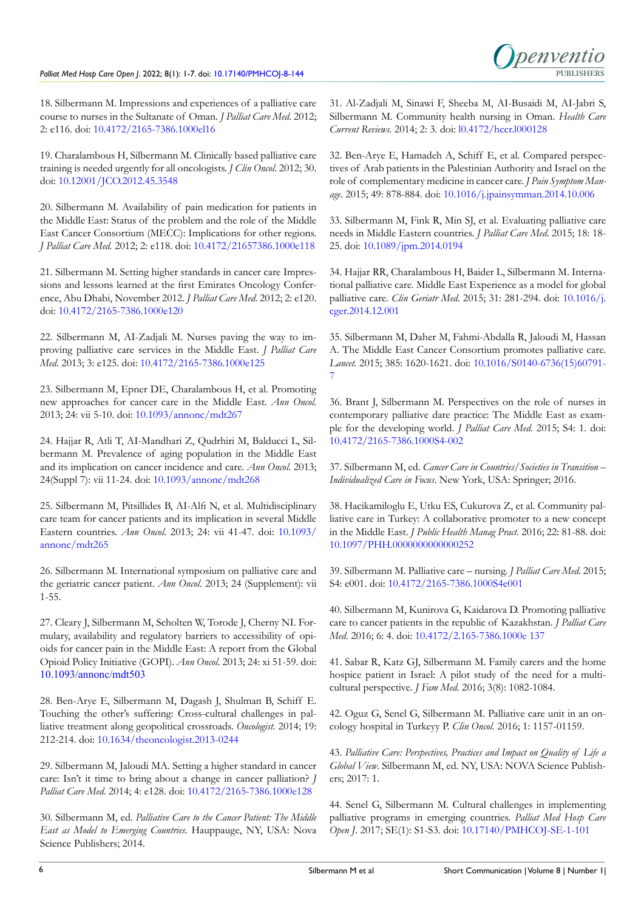

18. Silbermann M. Impressions and experiences of a palliative care course to nurses in the Sultanate of Oman. *J Palliat Care Med*. 2012; 2: e116. doi: [10.4172/2165-7386.1000el16](http://doi.org/10.4172/2165-7386.1000el16)

19. Charalambous H, Silbermann M. Clinically based palliative care training is needed urgently for all oncologists. *J Clin Oncol.* 2012; 30. doi: [10.12001/JCO.2012.45.3548](http://doi.org/10.12001/JCO.2012.45.3548)

20. Silbermann M. Availability of pain medication for patients in the Middle East: Status of the problem and the role of the Middle East Cancer Consortium (MECC): Implications for other regions. *J Palliat Care Med.* 2012; 2: e118. doi: [10.4172/21657386.1000e118](http://doi.org/10.4172/21657386.1000e118)

21. Silbermann M. Setting higher standards in cancer care Impressions and lessons learned at the first Emirates Oncology Conference, Abu Dhabi, November 2012. *J Palliat Care Med*. 2012; 2: e120. doi: [10.4172/2165-7386.1000e120](http://doi.org/10.4172/2165-7386.1000e120)

22. Silbermann M, AI-Zadjali M. Nurses paving the way to improving palliative care services in the Middle East. *J Palliat Care Med*. 2013; 3: e125. doi: [10.4172/2165-7386.1000e125](http://doi.org/10.4172/2165-7386.1000e125)

23. Silbermann M, Epner DE, Charalambous H, et al. Promoting new approaches for cancer care in the Middle East. *Ann Oncol.* 2013; 24: vii 5-10. doi: [10.1093/annonc/mdt267](http://doi.org/10.1093/annonc/mdt267)

24. Hajjar R, Atli T, AI-Mandhari Z, Qudrhiri M, Balducci L, Silbermann M. Prevalence of aging population in the Middle East and its implication on cancer incidence and care. *Ann Oncol*. 2013; 24(Suppl 7): vii 11-24. doi: [10.1093/annonc/mdt268](http://doi.org/10.1093/annonc/mdt268)

25. Silbermann M, Pitsillides B, AI-Alfi N, et al. Multidisciplinary care team for cancer patients and its implication in several Middle Eastern countries. *Ann Oncol*. 2013; 24: vii 41-47. doi: [10.1093/](http://doi.org/10.1093/annonc/mdt265) [annonc/mdt265](http://doi.org/10.1093/annonc/mdt265)

26. Silbermann M. International symposium on palliative care and the geriatric cancer patient. *Ann Oncol.* 2013; 24 (Supplement): vii 1-55.

27. Cleary J, Silbermann M, Scholten W, Torode J, Cherny NI. Formulary, availability and regulatory barriers to accessibility of opioids for cancer pain in the Middle East: A report from the Global Opioid Policy Initiative (GOPI). *Ann Oncol*. 2013; 24: xi 51-59. doi: [10.1093/annonc/mdt503](http://doi.org/10.1093/annonc/mdt503)

28. Ben-Arye E, Silbermann M, Dagash J, Shulman B, Schiff E. Touching the other's suffering: Cross-cultural challenges in palliative treatment along geopolitical crossroads. *Oncologist.* 2014; 19: 212-214. doi: [10.1634/theoncologist.2013-0244](http://doi.org/10.1634/theoncologist.2013-0244)

29. Silbermann M, Jaloudi MA. Setting a higher standard in cancer care: Isn't it time to bring about a change in cancer palliation? *J Palliat Care Med*. 2014; 4: e128. doi: [10.4172/2165-7386.1000e128](http://doi.org/10.4172/2165-7386.1000e128)

30. Silbermann M, ed. *Palliative Care to the Cancer Patient: The Middle East as Model to Emerging Countries*. Hauppauge, NY, USA: Nova Science Publishers; 2014.

31. Al-Zadjali M, Sinawi F, Sheeba M, AI-Busaidi M, AI-Jabri S, Silbermann M. Community health nursing in Oman. *Health Care Current Reviews.* 2014; 2: 3. doi: [l0.4172/hccr.l000128](http://doi.org/l0.4172/hccr.l000128)

32. Ben-Arye E, Hamadeh A, Schiff E, et al. Compared perspectives of Arab patients in the Palestinian Authority and Israel on the role of complementary medicine in cancer care. *J Pain Symptom Manage*. 2015; 49: 878-884. doi: [10.1016/j.jpainsymman.2014.10.006](http://doi.org/10.1016/j.jpainsymman.2014.10.006)

33. Silbermann M, Fink R, Min SJ, et al. Evaluating palliative care needs in Middle Eastern countries. *J Palliat Care Med*. 2015; 18: 18- 25. doi: [10.1089/jpm.2014.0194](http://doi.org/10.1089/jpm.2014.0194)

34. Hajjar RR, Charalambous H, Baider L, Silbermann M. International palliative care. Middle East Experience as a model for global palliative care. *Clin Geriatr Med*. 2015; 31: 281-294. doi: [10.1016/j.](http://doi.org/10.1016/j.cger.2014.12.001) [cger.2014.12.001](http://doi.org/10.1016/j.cger.2014.12.001)

35. Silbermann M, Daher M, Fahmi-Abdalla R, Jaloudi M, Hassan A. The Middle East Cancer Consortium promotes palliative care. *Lancet.* 2015; 385: 1620-1621. doi: [10.1016/S0140-6736\(15\)60791-](http://doi.org/10.1016/S0140-6736(15)60791-7) [7](http://doi.org/10.1016/S0140-6736(15)60791-7)

36. Brant J, Silbermann M. Perspectives on the role of nurses in contemporary palliative dare practice: The Middle East as example for the developing world. *J Palliat Care Med*. 2015; S4: 1. doi: [10.4172/2165-7386.1000S4-002](http://doi.org/10.4172/2165-7386.1000S4-002)

37. Silbermann M, ed. *Cancer Care in Countries/Societies in Transition – Individualized Care in Focus*. New York, USA: Springer; 2016.

38. Hacikamiloglu E, Utku ES, Cukurova Z, et al. Community palliative care in Turkey: A collaborative promoter to a new concept in the Middle East. *J Public Health Manag Pract.* 2016; 22: 81-88. doi: [10.1097/PHH.0000000000000252](http://doi.org/10.1097/PHH.0000000000000252)

39. Silbermann M. Palliative care – nursing. *J Palliat Care Med*. 2015; S4: e001. doi: [10.4172/2165-7386.1000S4e001](http://doi.org/10.4172/2165-7386.1000S4e001)

40. Silbermann M, Kunirova G, Kaidarova D. Promoting palliative care to cancer patients in the republic of Kazakhstan. *J Palliat Care Med*. 2016; 6: 4. doi: [10.4172/2.165-7386.1000e 137](http://doi.org/10.4172/2.165-7386.1000e 137)

41. Sabar R, Katz GJ, Silbermann M. Family carers and the home hospice patient in Israel: A pilot study of the need for a multicultural perspective. *J Fam Med.* 2016; 3(8): 1082-1084.

42. Oguz G, Senel G, Silbermann M. Palliative care unit in an oncology hospital in Turkeyy P. *Clin Oncol.* 2016; 1: 1157-01159.

43. *Palliative Care: Perspectives, Practices and Impact on Quality of Life a Global View*. Silbermann M, ed. NY, USA: NOVA Science Publishers; 2017: 1.

44. Senel G, Silbermann M. Cultural challenges in implementing palliative programs in emerging countries. *Palliat Med Hosp Care Open J*. 2017; SE(1): S1-S3. doi: [10.17140/PMHCOJ-SE-1-101](http://doi.org/10.17140/PMHCOJ-SE-1-101)